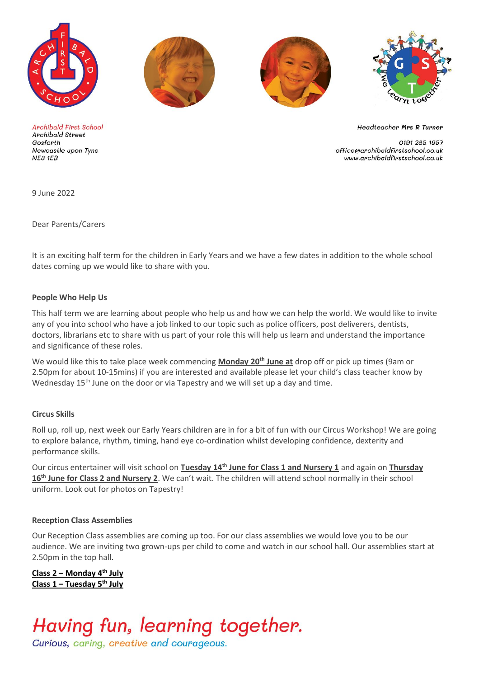





**Archibald First School Archibald Street** Gosforth Newcastle upon Tyne NE3 1EB

**Headteacher Mrs R Turner** 

0191 285 1957 office@archibaldfirstschool.co.uk www.archibaldfirstschool.co.uk

9 June 2022

Dear Parents/Carers

It is an exciting half term for the children in Early Years and we have a few dates in addition to the whole school dates coming up we would like to share with you.

#### **People Who Help Us**

This half term we are learning about people who help us and how we can help the world. We would like to invite any of you into school who have a job linked to our topic such as police officers, post deliverers, dentists, doctors, librarians etc to share with us part of your role this will help us learn and understand the importance and significance of these roles.

We would like this to take place week commencing **Monday 20th June at** drop off or pick up times (9am or 2.50pm for about 10-15mins) if you are interested and available please let your child's class teacher know by Wednesday 15<sup>th</sup> June on the door or via Tapestry and we will set up a day and time.

#### **Circus Skills**

Roll up, roll up, next week our Early Years children are in for a bit of fun with our Circus Workshop! We are going to explore balance, rhythm, timing, hand eye co-ordination whilst developing confidence, dexterity and performance skills.

Our circus entertainer will visit school on **Tuesday 14th June for Class 1 and Nursery 1** and again on **Thursday**  16<sup>th</sup> June for Class 2 and Nursery 2. We can't wait. The children will attend school normally in their school uniform. Look out for photos on Tapestry!

#### **Reception Class Assemblies**

Our Reception Class assemblies are coming up too. For our class assemblies we would love you to be our audience. We are inviting two grown-ups per child to come and watch in our school hall. Our assemblies start at 2.50pm in the top hall.

**Class 2 – Monday 4th July Class 1 – Tuesday 5th July**

## Having fun, learning together.

Curious, caring, creative and courageous.